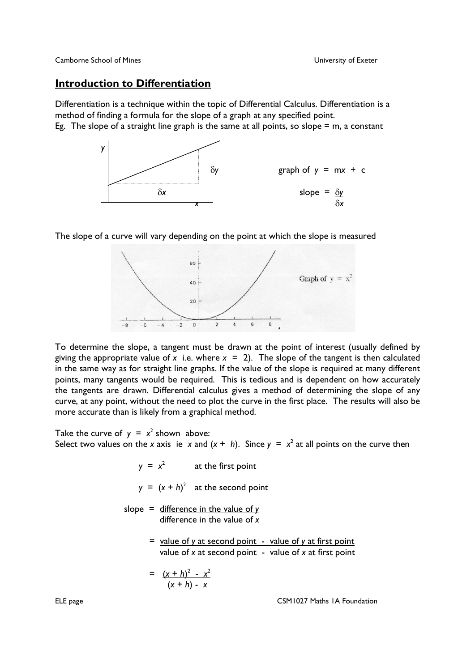**Camborne School of Mines Community of Exeter** University of Exeter

## **Introduction to Differentiation**

Differentiation is a technique within the topic of Differential Calculus. Differentiation is a method of finding a formula for the slope of a graph at any specified point. Eg. The slope of a straight line graph is the same at all points, so slope  $= m$ , a constant



The slope of a curve will vary depending on the point at which the slope is measured



To determine the slope, a tangent must be drawn at the point of interest (usually defined by giving the appropriate value of *x* i.e. where  $x = 2$ ). The slope of the tangent is then calculated in the same way as for straight line graphs. If the value of the slope is required at many different points, many tangents would be required. This is tedious and is dependent on how accurately the tangents are drawn. Differential calculus gives a method of determining the slope of any curve, at any point, without the need to plot the curve in the first place. The results will also be more accurate than is likely from a graphical method.

Take the curve of  $y = x^2$  shown above: Select two values on the *x* axis ie *x* and  $(x + h)$ . Since  $y = x^2$  at all points on the curve then

 $y = x^2$  at the first point  $y = (x + h)^2$  at the second point slope = difference in the value of *y* difference in the value of *x*

> = value of *y* at second point - value of *y* at first point value of *x* at second point - value of *x* at first point

$$
= \frac{(x+h)^2 - x^2}{(x+h) - x}
$$

ELE page CSM1027 Maths 1A Foundation CSM1027 Maths 1A Foundation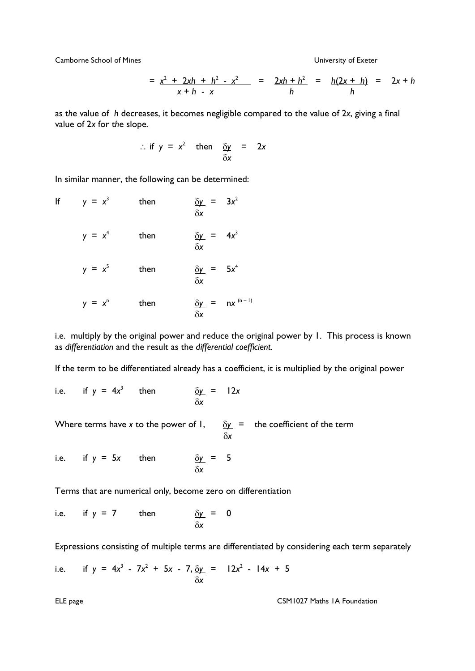Camborne School of Mines University of Exeter

$$
= \frac{x^2 + 2xh + h^2 - x^2}{x + h - x} = \frac{2xh + h^2}{h} = \frac{h(2x + h)}{h} = 2x + h
$$

as t*h*e value of *h* decreases, it becomes negligible compared to the value of 2*x*, giving a final value of 2*x* for t*h*e slope.

$$
\therefore \text{ if } y = x^2 \quad \text{ then } \quad \underline{\delta y} = 2x
$$
\n
$$
\delta x
$$

In similar manner, the following can be determined:

If 
$$
y = x^3
$$
 then  $\frac{\delta y}{\delta x} = 3x^2$   
\n $y = x^4$  then  $\frac{\delta y}{\delta x} = 4x^3$   
\n $y = x^5$  then  $\frac{\delta y}{\delta x} = 5x^4$   
\n $y = x^n$  then  $\frac{\delta y}{\delta x} = nx^{(n-1)}$   
\n $\frac{\delta y}{\delta x} = nx^{(n-1)}$ 

i.e. multiply by the original power and reduce the original power by 1. This process is known as *differentiation* and the result as the *differential coefficient.* 

If the term to be differentiated already has a coefficient, it is multiplied by the original power

i.e. if  $y = 4x^3$ then  $\frac{\delta y}{\delta x} = 12x$ δ*x*

Where terms have *x* to the power of 1,  $\delta y =$  the coefficient of the term δ*x*

i.e. if  $y = 5x$  then  $\frac{\delta y}{\delta x} = 5$ δ*x*

Terms that are numerical onl*y*, become zero on differentiation

i.e. if 
$$
y = 7
$$
 then  $\frac{\delta y}{\delta x} = 0$ 

E*x*pressions consisting of multiple terms are differentiated b*y* considering each term separatel*y*

i.e. if 
$$
y = 4x^3 - 7x^2 + 5x - 7
$$
,  $\frac{\delta y}{\delta x} = 12x^2 - 14x + 5$ 

ELE page CSM1027 Maths 1A Foundation CSM1027 Maths 1A Foundation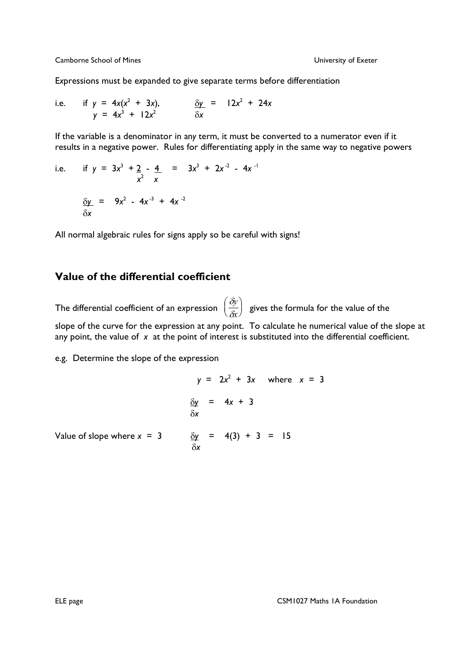Camborne School of Mines University of Exeter

E*x*pressions must be e*x*panded to give separate terms before differentiation

i.e. if 
$$
y = 4x(x^2 + 3x)
$$
,  $\frac{\delta y}{\delta x} = 12x^2 + 24x$   
 $y = 4x^3 + 12x^2$   $\delta x$ 

If the variable is a denominator in an*y* term, it must be converted to a numerator even if it results in a negative power. Rules for differentiating apply in the same wa*y* to negative powers

i.e. if 
$$
y = 3x^3 + 2 - 4 = 3x^3 + 2x^{-2} - 4x^{-1}
$$
  

$$
\frac{\delta y}{\delta x} = 9x^2 - 4x^{-3} + 4x^{-2}
$$

All normal algebraic rules for signs apply so be careful with signs!

## **Value of the differential coefficient**

The differential coefficient of an expression  $\begin{pmatrix} \delta & 0 \\ 0 & 0 \end{pmatrix}$ δ *y x* ſ  $\left(\frac{\delta y}{\delta x}\right)$ gives the formula for the value of the slope of the curve for the e*x*pression at any point. To calculate he numerical value of the slope at

any point, the value of *x* at the point of interest is substituted into the differential coefficient.

e.g. Determine the slope of the e*x*pression

$$
y = 2x^{2} + 3x \text{ where } x = 3
$$
\n
$$
\frac{\delta y}{\delta x} = 4x + 3
$$
\n
$$
\frac{\delta y}{\delta x} = 4(3) + 3 = 15
$$
\n
$$
\frac{\delta y}{\delta x} = 4(3) + 3 = 15
$$

Value of